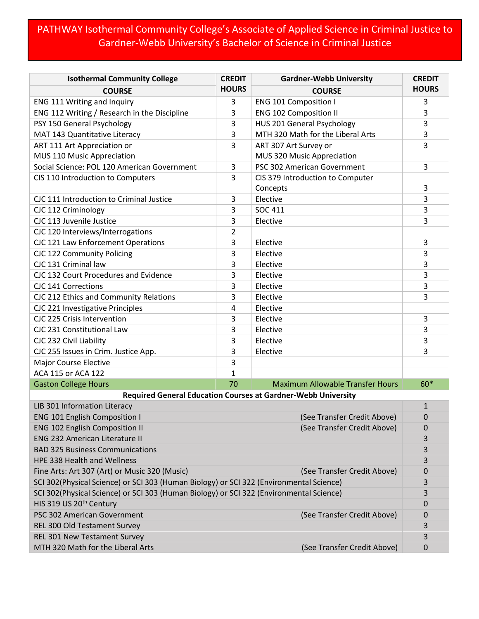## PATHWAY Isothermal Community College's Associate of Applied Science in Criminal Justice to Gardner-Webb University's Bachelor of Science in Criminal Justice

| <b>Isothermal Community College</b>                                                     | <b>CREDIT</b> | <b>Gardner-Webb University</b>               | <b>CREDIT</b> |  |
|-----------------------------------------------------------------------------------------|---------------|----------------------------------------------|---------------|--|
| <b>COURSE</b>                                                                           | <b>HOURS</b>  | <b>COURSE</b>                                | <b>HOURS</b>  |  |
| ENG 111 Writing and Inquiry                                                             | 3             | <b>ENG 101 Composition I</b>                 | 3             |  |
| ENG 112 Writing / Research in the Discipline                                            | 3             | <b>ENG 102 Composition II</b>                | 3             |  |
| PSY 150 General Psychology                                                              | 3             | <b>HUS 201 General Psychology</b>            | 3             |  |
| MAT 143 Quantitative Literacy                                                           | 3             | MTH 320 Math for the Liberal Arts            | 3             |  |
| ART 111 Art Appreciation or                                                             | 3             | ART 307 Art Survey or                        | 3             |  |
| MUS 110 Music Appreciation                                                              |               | MUS 320 Music Appreciation                   |               |  |
| Social Science: POL 120 American Government                                             | 3             | PSC 302 American Government                  | 3             |  |
| CIS 110 Introduction to Computers                                                       | 3             | CIS 379 Introduction to Computer<br>Concepts | 3             |  |
| CJC 111 Introduction to Criminal Justice                                                | 3             | Elective                                     | 3             |  |
| CJC 112 Criminology                                                                     | 3             | <b>SOC 411</b>                               | 3             |  |
| CJC 113 Juvenile Justice                                                                | 3             | Elective                                     | 3             |  |
| CJC 120 Interviews/Interrogations                                                       | 2             |                                              |               |  |
| CJC 121 Law Enforcement Operations                                                      | 3             | Elective                                     | 3             |  |
| CJC 122 Community Policing                                                              | 3             | Elective                                     | 3             |  |
| CJC 131 Criminal law                                                                    | 3             | Elective                                     | 3             |  |
| CJC 132 Court Procedures and Evidence                                                   | 3             | Elective                                     | 3             |  |
| CJC 141 Corrections                                                                     | 3             | Elective                                     | 3             |  |
| CJC 212 Ethics and Community Relations                                                  | 3             | Elective                                     | 3             |  |
| CJC 221 Investigative Principles                                                        | 4             | Elective                                     |               |  |
| CJC 225 Crisis Intervention                                                             | 3             | Elective                                     | 3             |  |
| CJC 231 Constitutional Law                                                              | 3             | Elective                                     | 3             |  |
| CJC 232 Civil Liability                                                                 | 3             | Elective                                     | 3             |  |
| CJC 255 Issues in Crim. Justice App.                                                    | 3             | Elective                                     | 3             |  |
| <b>Major Course Elective</b>                                                            | 3             |                                              |               |  |
| ACA 115 or ACA 122                                                                      | $\mathbf 1$   |                                              |               |  |
| <b>Gaston College Hours</b>                                                             | 70            | <b>Maximum Allowable Transfer Hours</b>      | 60*           |  |
| <b>Required General Education Courses at Gardner-Webb University</b>                    |               |                                              |               |  |
| LIB 301 Information Literacy                                                            |               |                                              | $\mathbf{1}$  |  |
| <b>ENG 101 English Composition I</b>                                                    |               | (See Transfer Credit Above)                  | 0             |  |
| <b>ENG 102 English Composition II</b><br>(See Transfer Credit Above)                    |               | 0                                            |               |  |
| <b>ENG 232 American Literature II</b>                                                   |               |                                              | 3             |  |
| <b>BAD 325 Business Communications</b>                                                  |               |                                              | 3             |  |
| HPE 338 Health and Wellness                                                             |               |                                              | 3             |  |
| Fine Arts: Art 307 (Art) or Music 320 (Music)<br>(See Transfer Credit Above)            |               |                                              | 0             |  |
| SCI 302(Physical Science) or SCI 303 (Human Biology) or SCI 322 (Environmental Science) |               |                                              | 3             |  |
| SCI 302(Physical Science) or SCI 303 (Human Biology) or SCI 322 (Environmental Science) |               |                                              | 3             |  |
| HIS 319 US 20 <sup>th</sup> Century                                                     |               |                                              | 0             |  |
| PSC 302 American Government                                                             |               | (See Transfer Credit Above)                  | 0             |  |
| REL 300 Old Testament Survey                                                            |               |                                              | 3             |  |
| REL 301 New Testament Survey                                                            |               |                                              | 3             |  |
| MTH 320 Math for the Liberal Arts                                                       |               | (See Transfer Credit Above)                  | 0             |  |